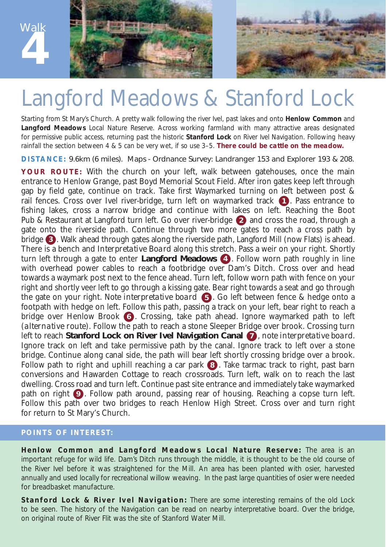

## Langford Meadows & Stanford Lock

Starting from St Mary's Church. A pretty walk following the river Ivel, past lakes and onto **Henlow Common** and **Langford Meadows** Local Nature Reserve. Across working farmland with many attractive areas designated for permissive public access, returning past the historic **Stanford Lock** on River Ivel Navigation. *Following heavy rainfall the section between 4 & 5 can be very wet, if so use 3–5. There could be cattle on the meadow.*

**DISTANCE:** 9.6km (6 miles). Maps - Ordnance Survey: Landranger 153 and Explorer 193 & 208.

**YOUR ROUTE:** With the church on your left, walk between gatehouses, once the main entrance to Henlow Grange, past Boyd Memorial Scout Field. After iron gates keep left through gap by field gate, continue on track. Take first Waymarked turning on left between post & rail fences. Cross over Ivel river-bridge, turn left on waymarked track  $\bigoplus$ . Pass entrance to fishing lakes, cross a narrow bridge and continue with lakes on left. Reaching the Boot Pub & Restaurant at Langford turn left. Go over river-bridge @ and cross the road, through a gate onto the riverside path. Continue through two more gates to reach a cross path by bridge 3). Walk ahead through gates along the riverside path, Langford Mill (now Flats) is ahead. There is a bench and *Interpretative Board* along this stretch. Pass a weir on your right. Shortly turn left through a gate to enter Langford Meadows (4). Follow worn path roughly in line with overhead power cables to reach a footbridge over Dam's Ditch. Cross over and head towards a waymark post next to the fence ahead. Turn left, follow worn path with fence on your right and shortly veer left to go through a kissing gate. Bear right towards a seat and go through the gate on your right. *Note interpretative board* . Go left between fence & hedge onto a **5** footpath with hedge on left. Follow this path, passing a track on your left, bear right to reach a bridge over Henlow Brook **6**. Crossing, take path ahead. Ignore waymarked path to left (*alternative route*). Follow the path to reach a stone Sleeper Bridge over brook. Crossing turn left to reach **Stanford Lock on River Ivel Navigation Canal (7)**, *note interpretative board.* Ignore track on left and take permissive path by the canal. Ignore track to left over a stone bridge. Continue along canal side, the path will bear left shortly crossing bridge over a brook. Follow path to right and uphill reaching a car park **8**. Take tarmac track to right, past barn conversions and Hawarden Cottage to reach crossroads. Turn left, walk on to reach the last dwelling. Cross road and turn left. Continue past site entrance and immediately take waymarked path on right  $\bullet$ . Follow path around, passing rear of housing. Reaching a copse turn left. Follow this path over two bridges to reach Henlow High Street. Cross over and turn right for return to St Mary's Church.

## **POINTS OF INTEREST:**

**Henlow Common and Langford Meadows Local Nature Reserve:** The area is an important refuge for wild life. Dam's Ditch runs through the middle, it is thought to be the old course of the River Ivel before it was straightened for the Mill. An area has been planted with osier, harvested annually and used locally for recreational willow weaving. In the past large quantities of osier were needed for breadbasket manufacture.

**Stanford Lock & River Ivel Navigation:** There are some interesting remains of the old Lock to be seen. The history of the Navigation can be read on nearby interpretative board. Over the bridge, on original route of River Flit was the site of Stanford Water Mill.